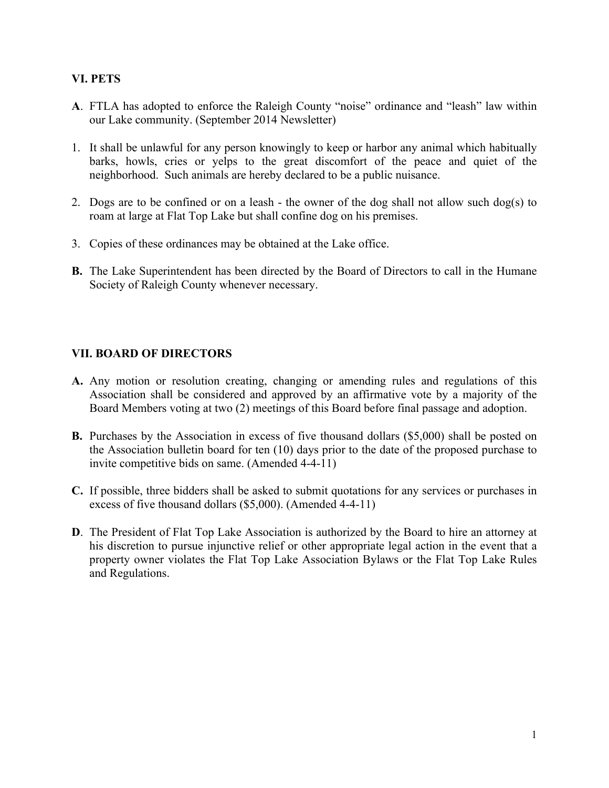## **VI. PETS**

- **A**. FTLA has adopted to enforce the Raleigh County "noise" ordinance and "leash" law within our Lake community. (September 2014 Newsletter)
- 1. It shall be unlawful for any person knowingly to keep or harbor any animal which habitually barks, howls, cries or yelps to the great discomfort of the peace and quiet of the neighborhood. Such animals are hereby declared to be a public nuisance.
- 2. Dogs are to be confined or on a leash the owner of the dog shall not allow such dog(s) to roam at large at Flat Top Lake but shall confine dog on his premises.
- 3. Copies of these ordinances may be obtained at the Lake office.
- **B.** The Lake Superintendent has been directed by the Board of Directors to call in the Humane Society of Raleigh County whenever necessary.

## **VII. BOARD OF DIRECTORS**

- **A.** Any motion or resolution creating, changing or amending rules and regulations of this Association shall be considered and approved by an affirmative vote by a majority of the Board Members voting at two (2) meetings of this Board before final passage and adoption.
- **B.** Purchases by the Association in excess of five thousand dollars (\$5,000) shall be posted on the Association bulletin board for ten (10) days prior to the date of the proposed purchase to invite competitive bids on same. (Amended 4-4-11)
- **C.** If possible, three bidders shall be asked to submit quotations for any services or purchases in excess of five thousand dollars (\$5,000). (Amended 4-4-11)
- **D**. The President of Flat Top Lake Association is authorized by the Board to hire an attorney at his discretion to pursue injunctive relief or other appropriate legal action in the event that a property owner violates the Flat Top Lake Association Bylaws or the Flat Top Lake Rules and Regulations.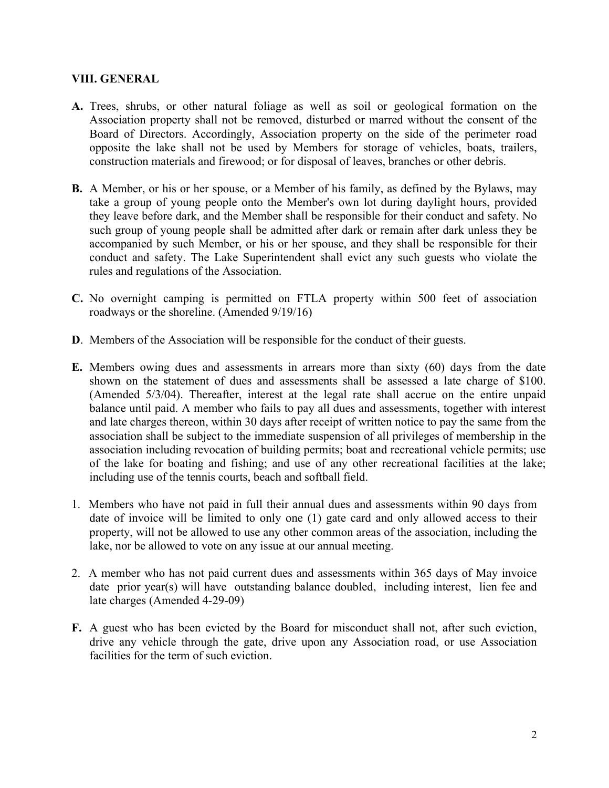## **VIII. GENERAL**

- **A.** Trees, shrubs, or other natural foliage as well as soil or geological formation on the Association property shall not be removed, disturbed or marred without the consent of the Board of Directors. Accordingly, Association property on the side of the perimeter road opposite the lake shall not be used by Members for storage of vehicles, boats, trailers, construction materials and firewood; or for disposal of leaves, branches or other debris.
- **B.** A Member, or his or her spouse, or a Member of his family, as defined by the Bylaws, may take a group of young people onto the Member's own lot during daylight hours, provided they leave before dark, and the Member shall be responsible for their conduct and safety. No such group of young people shall be admitted after dark or remain after dark unless they be accompanied by such Member, or his or her spouse, and they shall be responsible for their conduct and safety. The Lake Superintendent shall evict any such guests who violate the rules and regulations of the Association.
- **C.** No overnight camping is permitted on FTLA property within 500 feet of association roadways or the shoreline. (Amended 9/19/16)
- **D**. Members of the Association will be responsible for the conduct of their guests.
- **E.** Members owing dues and assessments in arrears more than sixty (60) days from the date shown on the statement of dues and assessments shall be assessed a late charge of \$100. (Amended 5/3/04). Thereafter, interest at the legal rate shall accrue on the entire unpaid balance until paid. A member who fails to pay all dues and assessments, together with interest and late charges thereon, within 30 days after receipt of written notice to pay the same from the association shall be subject to the immediate suspension of all privileges of membership in the association including revocation of building permits; boat and recreational vehicle permits; use of the lake for boating and fishing; and use of any other recreational facilities at the lake; including use of the tennis courts, beach and softball field.
- 1. Members who have not paid in full their annual dues and assessments within 90 days from date of invoice will be limited to only one (1) gate card and only allowed access to their property, will not be allowed to use any other common areas of the association, including the lake, nor be allowed to vote on any issue at our annual meeting.
- 2. A member who has not paid current dues and assessments within 365 days of May invoice date prior year(s) will have outstanding balance doubled, including interest, lien fee and late charges (Amended 4-29-09)
- **F.** A guest who has been evicted by the Board for misconduct shall not, after such eviction, drive any vehicle through the gate, drive upon any Association road, or use Association facilities for the term of such eviction.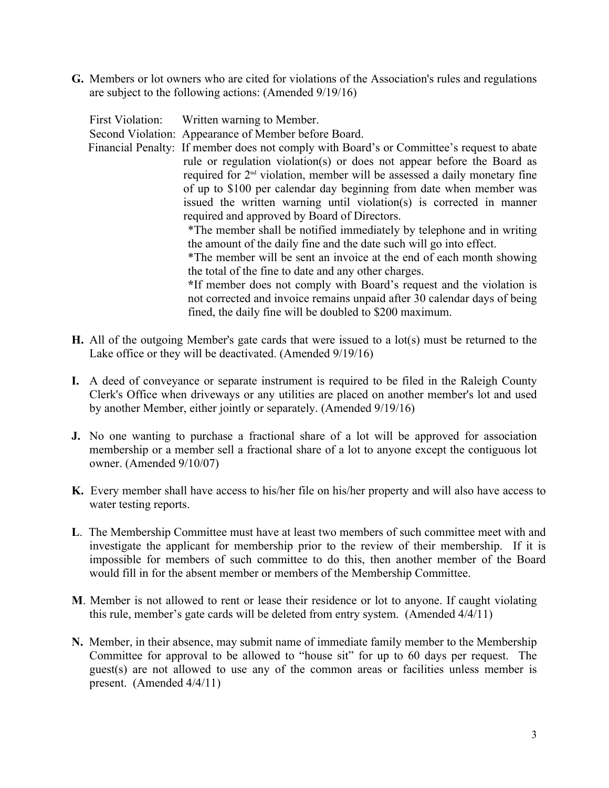**G.** Members or lot owners who are cited for violations of the Association's rules and regulations are subject to the following actions: (Amended 9/19/16)

| First Violation: Written warning to Member.                                               |
|-------------------------------------------------------------------------------------------|
| Second Violation: Appearance of Member before Board.                                      |
| Financial Penalty: If member does not comply with Board's or Committee's request to abate |
| rule or regulation violation(s) or does not appear before the Board as                    |
| required for 2 <sup>nd</sup> violation, member will be assessed a daily monetary fine     |
| of up to \$100 per calendar day beginning from date when member was                       |
| issued the written warning until violation(s) is corrected in manner                      |
| required and approved by Board of Directors.                                              |
| *The member shall be notified immediately by telephone and in writing                     |
| the amount of the daily fine and the date such will go into effect.                       |
| *The member will be sent an invoice at the end of each month showing                      |
| the total of the fine to date and any other charges.                                      |
| *If member does not comply with Board's request and the violation is                      |
| not corrected and invoice remains unpaid after 30 calendar days of being                  |
| fined, the daily fine will be doubled to \$200 maximum.                                   |
|                                                                                           |

- **H.** All of the outgoing Member's gate cards that were issued to a lot(s) must be returned to the Lake office or they will be deactivated. (Amended 9/19/16)
- **I.** A deed of conveyance or separate instrument is required to be filed in the Raleigh County Clerk's Office when driveways or any utilities are placed on another member's lot and used by another Member, either jointly or separately. (Amended 9/19/16)
- **J.** No one wanting to purchase a fractional share of a lot will be approved for association membership or a member sell a fractional share of a lot to anyone except the contiguous lot owner. (Amended 9/10/07)
- **K.** Every member shall have access to his/her file on his/her property and will also have access to water testing reports.
- **L**. The Membership Committee must have at least two members of such committee meet with and investigate the applicant for membership prior to the review of their membership. If it is impossible for members of such committee to do this, then another member of the Board would fill in for the absent member or members of the Membership Committee.
- **M**. Member is not allowed to rent or lease their residence or lot to anyone. If caught violating this rule, member's gate cards will be deleted from entry system. (Amended 4/4/11)
- **N.** Member, in their absence, may submit name of immediate family member to the Membership Committee for approval to be allowed to "house sit" for up to 60 days per request. The guest(s) are not allowed to use any of the common areas or facilities unless member is present. (Amended 4/4/11)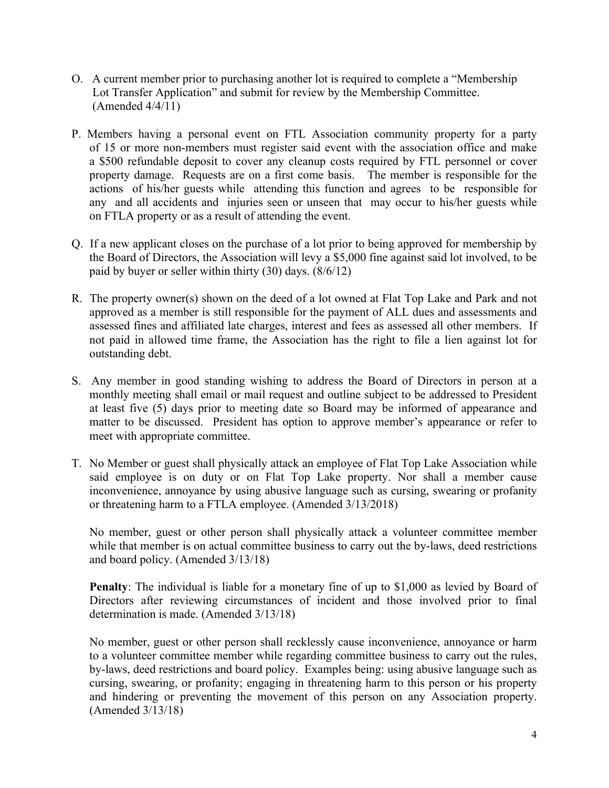- O. A current member prior to purchasing another lot is required to complete a "Membership Lot Transfer Application" and submit for review by the Membership Committee. (Amended 4/4/11)
- P. Members having a personal event on FTL Association community property for a party of 15 or more non-members must register said event with the association office and make a \$500 refundable deposit to cover any cleanup costs required by FTL personnel or cover property damage. Requests are on a first come basis. The member is responsible for the actions of his/her guests while attending this function and agrees to be responsible for any and all accidents and injuries seen or unseen that may occur to his/her guests while on FTLA property or as a result of attending the event.
- Q. If a new applicant closes on the purchase of a lot prior to being approved for membership by the Board of Directors, the Association will levy a \$5,000 fine against said lot involved, to be paid by buyer or seller within thirty (30) days. (8/6/12)
- R. The property owner(s) shown on the deed of a lot owned at Flat Top Lake and Park and not approved as a member is still responsible for the payment of ALL dues and assessments and assessed fines and affiliated late charges, interest and fees as assessed all other members. If not paid in allowed time frame, the Association has the right to file a lien against lot for outstanding debt.
- S. Any member in good standing wishing to address the Board of Directors in person at a monthly meeting shall email or mail request and outline subject to be addressed to President at least five (5) days prior to meeting date so Board may be informed of appearance and matter to be discussed. President has option to approve member's appearance or refer to meet with appropriate committee.
- T. No Member or guest shall physically attack an employee of Flat Top Lake Association while said employee is on duty or on Flat Top Lake property. Nor shall a member cause inconvenience, annoyance by using abusive language such as cursing, swearing or profanity or threatening harm to a FTLA employee. (Amended 3/13/2018)

No member, guest or other person shall physically attack a volunteer committee member while that member is on actual committee business to carry out the by-laws, deed restrictions and board policy. (Amended 3/13/18)

**Penalty**: The individual is liable for a monetary fine of up to \$1,000 as levied by Board of Directors after reviewing circumstances of incident and those involved prior to final determination is made. (Amended 3/13/18)

No member, guest or other person shall recklessly cause inconvenience, annoyance or harm to a volunteer committee member while regarding committee business to carry out the rules, by-laws, deed restrictions and board policy. Examples being: using abusive language such as cursing, swearing, or profanity; engaging in threatening harm to this person or his property and hindering or preventing the movement of this person on any Association property. (Amended 3/13/18)